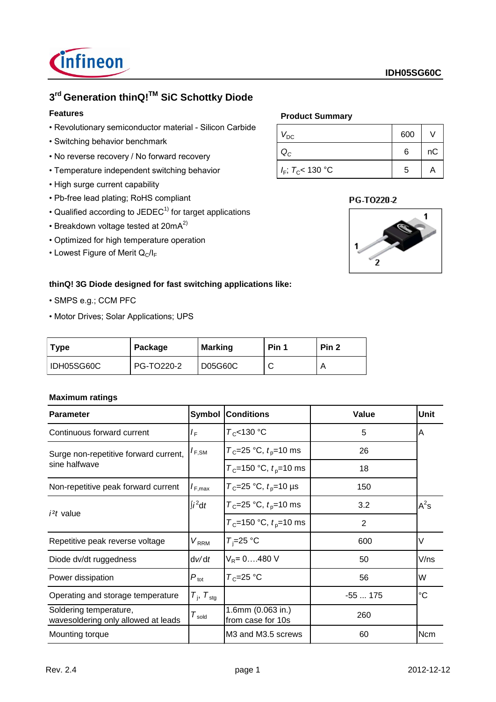

# **3 rd Generation thinQ!TM SiC Schottky Diode**

## **Features**

- Revolutionary semiconductor material Silicon Carbide
- Switching behavior benchmark
- No reverse recovery / No forward recovery
- Temperature independent switching behavior
- High surge current capability
- Pb-free lead plating; RoHS compliant
- Qualified according to JEDEC $<sup>1</sup>$  for target applications</sup>
- Breakdown voltage tested at  $20mA<sup>2</sup>$
- Optimized for high temperature operation
- Lowest Figure of Merit  $Q_C/I_F$

### **Product Summary**

| $V_{\text{DC}}$        | 600 |    |
|------------------------|-----|----|
| ${\sf Q}_C$            | 6   | nC |
| $I_F$ ; $T_C$ < 130 °C | 5   |    |

### PG-T0220-2



## **thinQ! 3G Diode designed for fast switching applications like:**

- SMPS e.g.; CCM PFC
- Motor Drives; Solar Applications; UPS

| Type       | Package    | <b>Marking</b> | Pin 1 | Pin <sub>2</sub> |
|------------|------------|----------------|-------|------------------|
| IDH05SG60C | PG-TO220-2 | D05G60C        |       |                  |

### **Maximum ratings**

| <b>Parameter</b>                                              | Symbol                      | <b>Conditions</b>                              | Value          | Unit       |
|---------------------------------------------------------------|-----------------------------|------------------------------------------------|----------------|------------|
| Continuous forward current                                    | I <sub>F</sub>              | $T_c$ <130 °C                                  | 5              | A          |
| Surge non-repetitive forward current,                         | $I_{F,SM}$                  | $T_c = 25 °C$ , $t_p = 10$ ms                  | 26             |            |
| sine halfwave                                                 |                             | $T_c$ =150 °C, $t_p$ =10 ms                    | 18             |            |
| Non-repetitive peak forward current                           | $I_{F,max}$                 | $T_c = 25 °C$ , $t_p = 10 \text{ }\mu\text{s}$ | 150            |            |
| <i>i</i> <sup>2</sup> <i>t</i> value                          | $\int i^2 dt$               | $T_c = 25 °C$ , $t_p = 10$ ms                  | 3.2            | $A^2s$     |
|                                                               |                             | $T_c$ =150 °C, $t_p$ =10 ms                    | $\overline{2}$ |            |
| Repetitive peak reverse voltage                               | $V_{\rm RRM}$               | $T_i = 25$ °C                                  | 600            | V          |
| Diode dv/dt ruggedness                                        | dv/dt                       | $V_R = 0480 V$                                 | 50             | V/ns       |
| Power dissipation                                             | $\mathsf{P}_{\sf tot}$      | $T_c = 25$ °C                                  | 56             | W          |
| Operating and storage temperature                             | $T_{\rm i}$ , $T_{\rm stg}$ |                                                | $-55175$       | °C         |
| Soldering temperature,<br>wavesoldering only allowed at leads | $T_{\mathsf{gold}}$         | 1.6mm (0.063 in.)<br>from case for 10s         | 260            |            |
| Mounting torque                                               |                             | M3 and M3.5 screws                             | 60             | <b>Ncm</b> |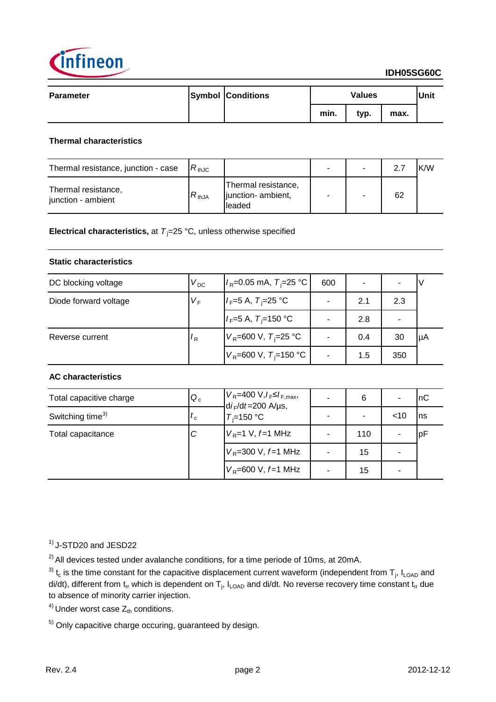

| <b>Parameter</b> | <b>Symbol Conditions</b> | <b>Values</b> |      |      | Unit |
|------------------|--------------------------|---------------|------|------|------|
|                  |                          | min.          | typ. | max. |      |

### **Thermal characteristics**

| Thermal resistance, junction - case       | $R_{thJC}$ |                                                      |  |    | K/W |
|-------------------------------------------|------------|------------------------------------------------------|--|----|-----|
| Thermal resistance,<br>junction - ambient | $R_{thJA}$ | Thermal resistance,<br>junction- ambient,<br>lleaded |  | 62 |     |

**Electrical characteristics,** at  $T_i = 25 \degree C$ , unless otherwise specified

### **Static characteristics**

| DC blocking voltage   | $V_{DC}$       | $I_R$ =0.05 mA, $T_i$ =25 °C               | 600 |     |     |     |
|-----------------------|----------------|--------------------------------------------|-----|-----|-----|-----|
| Diode forward voltage | $V_F$          | $I_F = 5 \text{ A}, T_F = 25 \text{ °C}$   |     | 2.1 | 2.3 |     |
|                       |                | $I_F = 5 \text{ A}, T_F = 150 \text{ °C}$  |     | 2.8 |     |     |
| Reverse current       | $\mathbf{r}_R$ | $V_{\rm R}$ =600 V, T <sub>i</sub> =25 °C  |     | 0.4 | 30  | luA |
|                       |                | $V_{\rm R}$ =600 V, T <sub>i</sub> =150 °C |     | 1.5 | 350 |     |

### **AC characteristics**

| Total capacitive charge      | $Q_c$            | $V_R$ =400 V, $I_F \leq I_{F,max}$ ,<br>$di_F/dt = 200$ A/µs,<br>$T_i = 150$ °C | 6   |        | InC |
|------------------------------|------------------|---------------------------------------------------------------------------------|-----|--------|-----|
| Switching time <sup>3)</sup> | $\mathfrak{c}_c$ |                                                                                 |     | $<$ 10 | Ins |
| Total capacitance            |                  | $V_{\rm R}$ =1 V, f=1 MHz                                                       | 110 |        | IpF |
|                              |                  | $V_R$ =300 V, $f$ =1 MHz                                                        | 15  |        |     |
|                              |                  | $V_R$ =600 V, f=1 MHz                                                           | 15  |        |     |

 $<sup>1</sup>$  J-STD20 and JESD22</sup>

 $^{2)}$  All devices tested under avalanche conditions, for a time periode of 10ms, at 20mA.

<sup>3)</sup> t<sub>c</sub> is the time constant for the capacitive displacement current waveform (independent from T<sub>j</sub>, I<sub>LOAD</sub> and di/dt), different from t<sub>rr</sub> which is dependent on T<sub>j</sub>, I<sub>LOAD</sub> and di/dt. No reverse recovery time constant t<sub>rr</sub> due to absence of minority carrier injection.

<sup>4)</sup> Under worst case  $Z_{th}$  conditions.

 $5)$  Only capacitive charge occuring, guaranteed by design.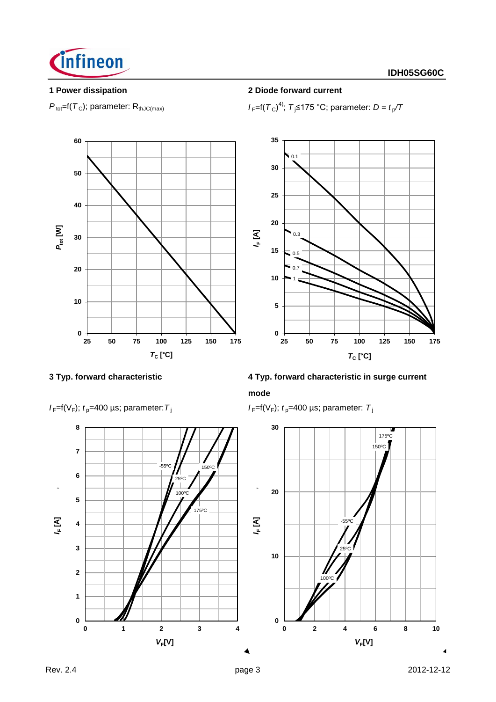

 $P_{\text{tot}}$ =f( $T_c$ ); parameter: R<sub>thJC(max)</sub>

## **1 Power dissipation 2 Diode forward current**

4); *T* <sup>j</sup>≤175 °C; parameter: *D = t* <sup>p</sup> */T*





# **3 Typ. forward characteristic 4 Typ. forward characteristic in surge current mode**

 $I_F=f(V_F)$ ;  $t_p=400 \mu s$ ; parameter:  $T_i$ 



 $I_F=f(V_F)$ ;  $t_p=400 \text{ }\mu\text{s}$ ; parameter:  $T_f$ 

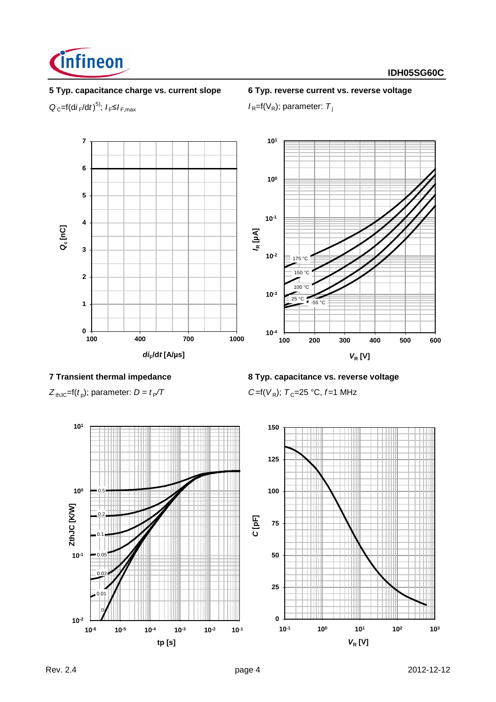

## **5 Typ. capacitance charge vs. current slope 6 Typ. reverse current vs. reverse voltage**

 $Q_{C}$ =f(d*i*<sub>F</sub>/d*t*)<sup>5)</sup>;  $I_{F}$ ≤ $I_{F,max}$ 

 $I_R = f(V_R)$ ; parameter:  $T_i$ 



### **7 Transient thermal impedance 8 Typ. capacitance vs. reverse voltage**



 $Z_{thJC}$ =f( $t_p$ ); parameter:  $D = t_p/T$ 

); parameter: *D = t* <sup>P</sup>*/T C* =f(*V* <sup>R</sup>); *T* <sup>C</sup>=25 °C, *f* =1 MHz

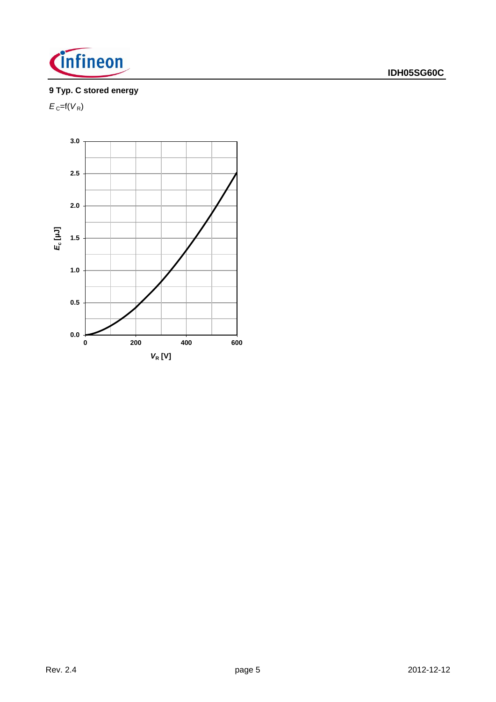

# **9 Typ. C stored energy**

 $E_{\rm C}$ =f( $V_{\rm R}$ )

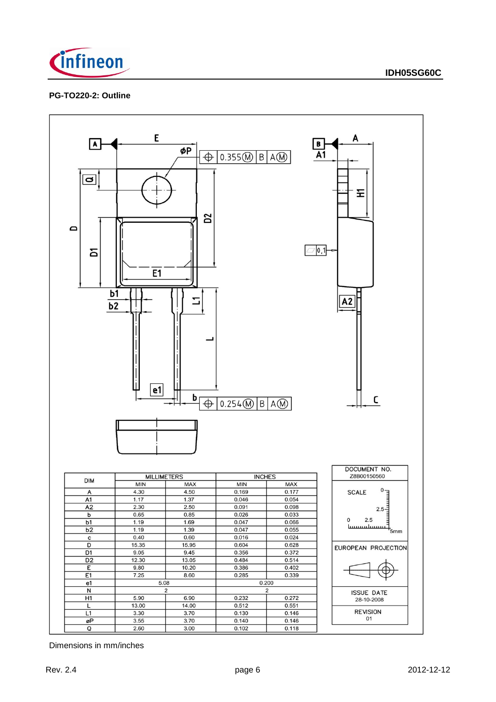

### **PG-TO220-2: Outline**



Dimensions in mm/inches